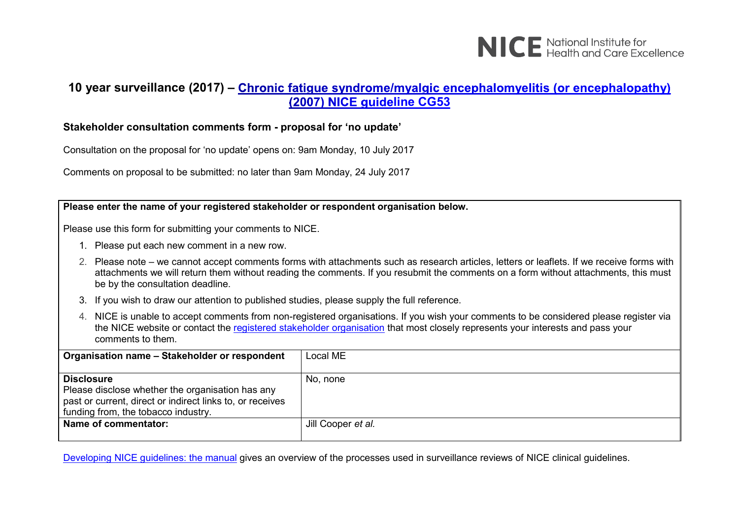

#### **10 year surveillance (2017) – (2007) NICE quide[line CG53](https://www.nice.org.uk/guidance/cg53)**

#### **Stakeholder consultation comments form - proposal for 'no update'**

Consultation on the proposal for 'no update' opens on: 9am Monday, 10 July 2017

Comments on proposal to be submitted: no later than 9am Monday, 24 July 2017

**Name of commentator:** Jill Cooper *et al.* 

**Please enter the name of your registered stakeholder or respondent organisation below.** Please use this form for submitting your comments to NICE. 1. Please put each new comment in a new row. 2. Please note – we cannot accept comments forms with attachments such as research articles, letters or leaflets. If we receive forms with attachments we will return them without reading the comments. If you resubmit the comments on a form without attachments, this must be by the consultation deadline. 3. If you wish to draw our attention to published studies, please supply the full reference. 4. NICE is unable to accept comments from non-registered organisations. If you wish your comments to be considered please register via the NICE website or contact the [registered stakeholder organisation](https://www.nice.org.uk/guidance/cg53/documents/stakeholder-list-2) that most closely represents your interests and pass your comments to them. **Organisation name - Stakeholder or respondent | Local ME Disclosure** Please disclose whether the organisation has any past or current, direct or indirect links to, or receives funding from, the tobacco industry. No, none

Developing NICE [guidelines: the manual](https://www.nice.org.uk/process/pmg20/chapter/1-introduction-and-overview) gives an overview of the processes used in surveillance reviews of NICE clinical guidelines.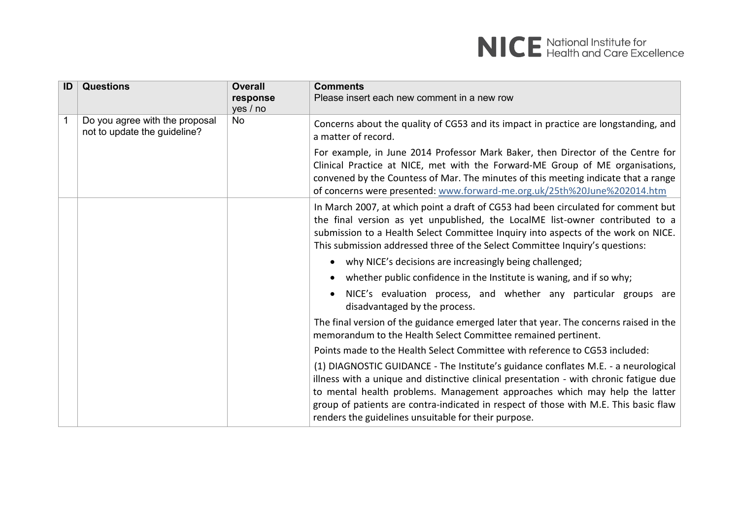| ID | <b>Questions</b>                                               | <b>Overall</b><br>response<br>yes / no | <b>Comments</b><br>Please insert each new comment in a new row                                                                                                                                                                                                                                                                                                                                             |
|----|----------------------------------------------------------------|----------------------------------------|------------------------------------------------------------------------------------------------------------------------------------------------------------------------------------------------------------------------------------------------------------------------------------------------------------------------------------------------------------------------------------------------------------|
|    | Do you agree with the proposal<br>not to update the guideline? | <b>No</b>                              | Concerns about the quality of CG53 and its impact in practice are longstanding, and<br>a matter of record.                                                                                                                                                                                                                                                                                                 |
|    |                                                                |                                        | For example, in June 2014 Professor Mark Baker, then Director of the Centre for<br>Clinical Practice at NICE, met with the Forward-ME Group of ME organisations,<br>convened by the Countess of Mar. The minutes of this meeting indicate that a range<br>of concerns were presented: www.forward-me.org.uk/25th%20June%202014.htm                                                                         |
|    |                                                                |                                        | In March 2007, at which point a draft of CG53 had been circulated for comment but<br>the final version as yet unpublished, the LocalME list-owner contributed to a<br>submission to a Health Select Committee Inquiry into aspects of the work on NICE.<br>This submission addressed three of the Select Committee Inquiry's questions:                                                                    |
|    |                                                                |                                        | • why NICE's decisions are increasingly being challenged;                                                                                                                                                                                                                                                                                                                                                  |
|    |                                                                |                                        | whether public confidence in the Institute is waning, and if so why;                                                                                                                                                                                                                                                                                                                                       |
|    |                                                                |                                        | NICE's evaluation process, and whether any particular groups are<br>disadvantaged by the process.                                                                                                                                                                                                                                                                                                          |
|    |                                                                |                                        | The final version of the guidance emerged later that year. The concerns raised in the<br>memorandum to the Health Select Committee remained pertinent.                                                                                                                                                                                                                                                     |
|    |                                                                |                                        | Points made to the Health Select Committee with reference to CG53 included:                                                                                                                                                                                                                                                                                                                                |
|    |                                                                |                                        | (1) DIAGNOSTIC GUIDANCE - The Institute's guidance conflates M.E. - a neurological<br>illness with a unique and distinctive clinical presentation - with chronic fatigue due<br>to mental health problems. Management approaches which may help the latter<br>group of patients are contra-indicated in respect of those with M.E. This basic flaw<br>renders the guidelines unsuitable for their purpose. |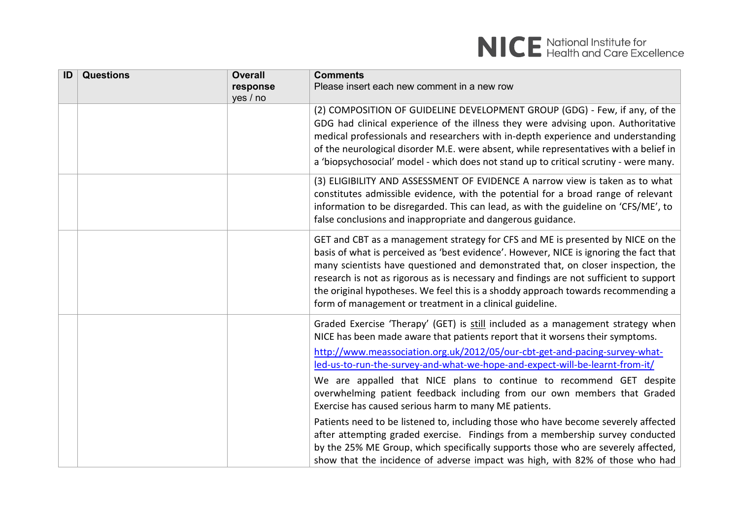| ID | <b>Questions</b> | <b>Overall</b> | <b>Comments</b>                                                                        |
|----|------------------|----------------|----------------------------------------------------------------------------------------|
|    |                  | response       | Please insert each new comment in a new row                                            |
|    |                  | yes / no       |                                                                                        |
|    |                  |                | (2) COMPOSITION OF GUIDELINE DEVELOPMENT GROUP (GDG) - Few, if any, of the             |
|    |                  |                | GDG had clinical experience of the illness they were advising upon. Authoritative      |
|    |                  |                | medical professionals and researchers with in-depth experience and understanding       |
|    |                  |                | of the neurological disorder M.E. were absent, while representatives with a belief in  |
|    |                  |                | a 'biopsychosocial' model - which does not stand up to critical scrutiny - were many.  |
|    |                  |                | (3) ELIGIBILITY AND ASSESSMENT OF EVIDENCE A narrow view is taken as to what           |
|    |                  |                | constitutes admissible evidence, with the potential for a broad range of relevant      |
|    |                  |                | information to be disregarded. This can lead, as with the guideline on 'CFS/ME', to    |
|    |                  |                | false conclusions and inappropriate and dangerous guidance.                            |
|    |                  |                | GET and CBT as a management strategy for CFS and ME is presented by NICE on the        |
|    |                  |                | basis of what is perceived as 'best evidence'. However, NICE is ignoring the fact that |
|    |                  |                | many scientists have questioned and demonstrated that, on closer inspection, the       |
|    |                  |                | research is not as rigorous as is necessary and findings are not sufficient to support |
|    |                  |                | the original hypotheses. We feel this is a shoddy approach towards recommending a      |
|    |                  |                | form of management or treatment in a clinical guideline.                               |
|    |                  |                | Graded Exercise 'Therapy' (GET) is still included as a management strategy when        |
|    |                  |                | NICE has been made aware that patients report that it worsens their symptoms.          |
|    |                  |                | http://www.meassociation.org.uk/2012/05/our-cbt-get-and-pacing-survey-what-            |
|    |                  |                | led-us-to-run-the-survey-and-what-we-hope-and-expect-will-be-learnt-from-it/           |
|    |                  |                | We are appalled that NICE plans to continue to recommend GET despite                   |
|    |                  |                | overwhelming patient feedback including from our own members that Graded               |
|    |                  |                | Exercise has caused serious harm to many ME patients.                                  |
|    |                  |                | Patients need to be listened to, including those who have become severely affected     |
|    |                  |                | after attempting graded exercise. Findings from a membership survey conducted          |
|    |                  |                | by the 25% ME Group, which specifically supports those who are severely affected,      |
|    |                  |                | show that the incidence of adverse impact was high, with 82% of those who had          |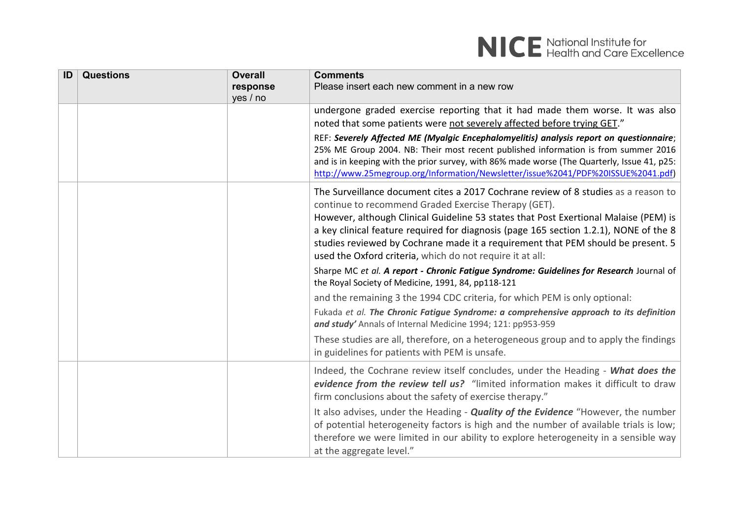

| ID | <b>Questions</b> | <b>Overall</b><br>response<br>yes / no | <b>Comments</b><br>Please insert each new comment in a new row                                                                                                                                                                                                                                                                                                                                                                                                               |
|----|------------------|----------------------------------------|------------------------------------------------------------------------------------------------------------------------------------------------------------------------------------------------------------------------------------------------------------------------------------------------------------------------------------------------------------------------------------------------------------------------------------------------------------------------------|
|    |                  |                                        | undergone graded exercise reporting that it had made them worse. It was also<br>noted that some patients were not severely affected before trying GET."                                                                                                                                                                                                                                                                                                                      |
|    |                  |                                        | REF: Severely Affected ME (Myalgic Encephalomyelitis) analysis report on questionnaire;<br>25% ME Group 2004. NB: Their most recent published information is from summer 2016<br>and is in keeping with the prior survey, with 86% made worse (The Quarterly, Issue 41, p25:<br>http://www.25megroup.org/Information/Newsletter/issue%2041/PDF%20ISSUE%2041.pdf)                                                                                                             |
|    |                  |                                        | The Surveillance document cites a 2017 Cochrane review of 8 studies as a reason to<br>continue to recommend Graded Exercise Therapy (GET).<br>However, although Clinical Guideline 53 states that Post Exertional Malaise (PEM) is<br>a key clinical feature required for diagnosis (page 165 section 1.2.1), NONE of the 8<br>studies reviewed by Cochrane made it a requirement that PEM should be present. 5<br>used the Oxford criteria, which do not require it at all: |
|    |                  |                                        | Sharpe MC et al. A report - Chronic Fatigue Syndrome: Guidelines for Research Journal of<br>the Royal Society of Medicine, 1991, 84, pp118-121                                                                                                                                                                                                                                                                                                                               |
|    |                  |                                        | and the remaining 3 the 1994 CDC criteria, for which PEM is only optional:                                                                                                                                                                                                                                                                                                                                                                                                   |
|    |                  |                                        | Fukada et al. The Chronic Fatigue Syndrome: a comprehensive approach to its definition<br>and study' Annals of Internal Medicine 1994; 121: pp953-959                                                                                                                                                                                                                                                                                                                        |
|    |                  |                                        | These studies are all, therefore, on a heterogeneous group and to apply the findings<br>in guidelines for patients with PEM is unsafe.                                                                                                                                                                                                                                                                                                                                       |
|    |                  |                                        | Indeed, the Cochrane review itself concludes, under the Heading - What does the<br>evidence from the review tell us? "limited information makes it difficult to draw<br>firm conclusions about the safety of exercise therapy."                                                                                                                                                                                                                                              |
|    |                  |                                        | It also advises, under the Heading - <b>Quality of the Evidence</b> "However, the number<br>of potential heterogeneity factors is high and the number of available trials is low;<br>therefore we were limited in our ability to explore heterogeneity in a sensible way<br>at the aggregate level."                                                                                                                                                                         |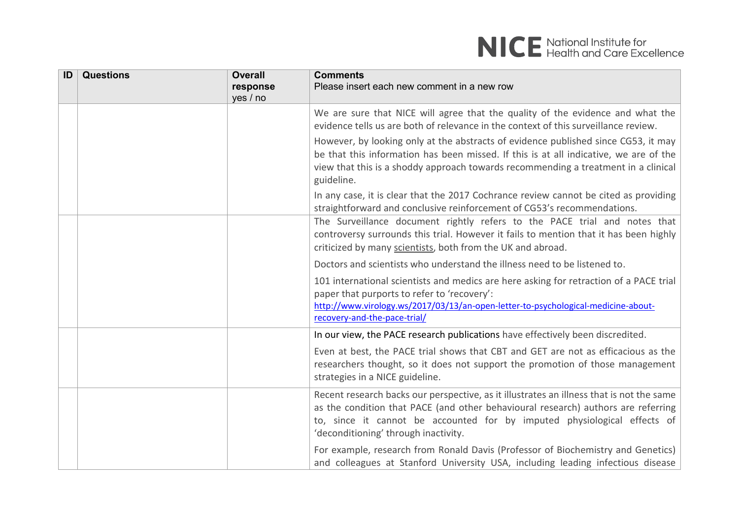| ID | <b>Questions</b> | <b>Overall</b><br>response<br>yes / no | <b>Comments</b><br>Please insert each new comment in a new row                                                                                                                                                                                                                                    |
|----|------------------|----------------------------------------|---------------------------------------------------------------------------------------------------------------------------------------------------------------------------------------------------------------------------------------------------------------------------------------------------|
|    |                  |                                        | We are sure that NICE will agree that the quality of the evidence and what the<br>evidence tells us are both of relevance in the context of this surveillance review.                                                                                                                             |
|    |                  |                                        | However, by looking only at the abstracts of evidence published since CG53, it may<br>be that this information has been missed. If this is at all indicative, we are of the<br>view that this is a shoddy approach towards recommending a treatment in a clinical<br>guideline.                   |
|    |                  |                                        | In any case, it is clear that the 2017 Cochrance review cannot be cited as providing<br>straightforward and conclusive reinforcement of CG53's recommendations.                                                                                                                                   |
|    |                  |                                        | The Surveillance document rightly refers to the PACE trial and notes that<br>controversy surrounds this trial. However it fails to mention that it has been highly<br>criticized by many scientists, both from the UK and abroad.                                                                 |
|    |                  |                                        | Doctors and scientists who understand the illness need to be listened to.                                                                                                                                                                                                                         |
|    |                  |                                        | 101 international scientists and medics are here asking for retraction of a PACE trial<br>paper that purports to refer to 'recovery':<br>http://www.virology.ws/2017/03/13/an-open-letter-to-psychological-medicine-about-<br>recovery-and-the-pace-trial/                                        |
|    |                  |                                        | In our view, the PACE research publications have effectively been discredited.                                                                                                                                                                                                                    |
|    |                  |                                        | Even at best, the PACE trial shows that CBT and GET are not as efficacious as the<br>researchers thought, so it does not support the promotion of those management<br>strategies in a NICE guideline.                                                                                             |
|    |                  |                                        | Recent research backs our perspective, as it illustrates an illness that is not the same<br>as the condition that PACE (and other behavioural research) authors are referring<br>to, since it cannot be accounted for by imputed physiological effects of<br>'deconditioning' through inactivity. |
|    |                  |                                        | For example, research from Ronald Davis (Professor of Biochemistry and Genetics)<br>and colleagues at Stanford University USA, including leading infectious disease                                                                                                                               |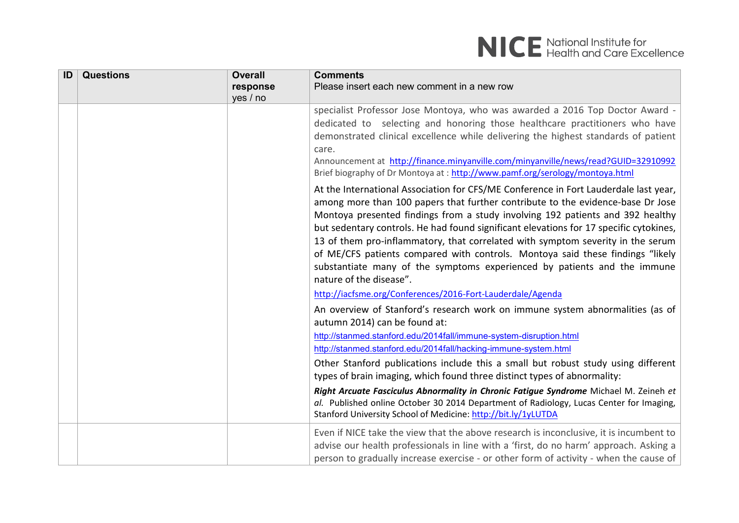| ID | <b>Questions</b> | <b>Overall</b> | <b>Comments</b>                                                                                                                                                                                                                                                                                                                                                                                                                                                                                                                                                                                            |
|----|------------------|----------------|------------------------------------------------------------------------------------------------------------------------------------------------------------------------------------------------------------------------------------------------------------------------------------------------------------------------------------------------------------------------------------------------------------------------------------------------------------------------------------------------------------------------------------------------------------------------------------------------------------|
|    |                  | response       | Please insert each new comment in a new row                                                                                                                                                                                                                                                                                                                                                                                                                                                                                                                                                                |
|    |                  | yes / no       |                                                                                                                                                                                                                                                                                                                                                                                                                                                                                                                                                                                                            |
|    |                  |                | specialist Professor Jose Montoya, who was awarded a 2016 Top Doctor Award -<br>dedicated to selecting and honoring those healthcare practitioners who have<br>demonstrated clinical excellence while delivering the highest standards of patient<br>care.<br>Announcement at http://finance.minyanville.com/minyanville/news/read?GUID=32910992<br>Brief biography of Dr Montoya at: http://www.pamf.org/serology/montoya.html<br>At the International Association for CFS/ME Conference in Fort Lauderdale last year,<br>among more than 100 papers that further contribute to the evidence-base Dr Jose |
|    |                  |                | Montoya presented findings from a study involving 192 patients and 392 healthy<br>but sedentary controls. He had found significant elevations for 17 specific cytokines,<br>13 of them pro-inflammatory, that correlated with symptom severity in the serum<br>of ME/CFS patients compared with controls. Montoya said these findings "likely<br>substantiate many of the symptoms experienced by patients and the immune<br>nature of the disease".                                                                                                                                                       |
|    |                  |                | http://iacfsme.org/Conferences/2016-Fort-Lauderdale/Agenda                                                                                                                                                                                                                                                                                                                                                                                                                                                                                                                                                 |
|    |                  |                | An overview of Stanford's research work on immune system abnormalities (as of<br>autumn 2014) can be found at:                                                                                                                                                                                                                                                                                                                                                                                                                                                                                             |
|    |                  |                | http://stanmed.stanford.edu/2014fall/immune-system-disruption.html                                                                                                                                                                                                                                                                                                                                                                                                                                                                                                                                         |
|    |                  |                | http://stanmed.stanford.edu/2014fall/hacking-immune-system.html                                                                                                                                                                                                                                                                                                                                                                                                                                                                                                                                            |
|    |                  |                | Other Stanford publications include this a small but robust study using different                                                                                                                                                                                                                                                                                                                                                                                                                                                                                                                          |
|    |                  |                | types of brain imaging, which found three distinct types of abnormality:                                                                                                                                                                                                                                                                                                                                                                                                                                                                                                                                   |
|    |                  |                | Right Arcuate Fasciculus Abnormality in Chronic Fatigue Syndrome Michael M. Zeineh et<br>al. Published online October 30 2014 Department of Radiology, Lucas Center for Imaging,<br>Stanford University School of Medicine: http://bit.ly/1yLUTDA                                                                                                                                                                                                                                                                                                                                                          |
|    |                  |                | Even if NICE take the view that the above research is inconclusive, it is incumbent to<br>advise our health professionals in line with a 'first, do no harm' approach. Asking a<br>person to gradually increase exercise - or other form of activity - when the cause of                                                                                                                                                                                                                                                                                                                                   |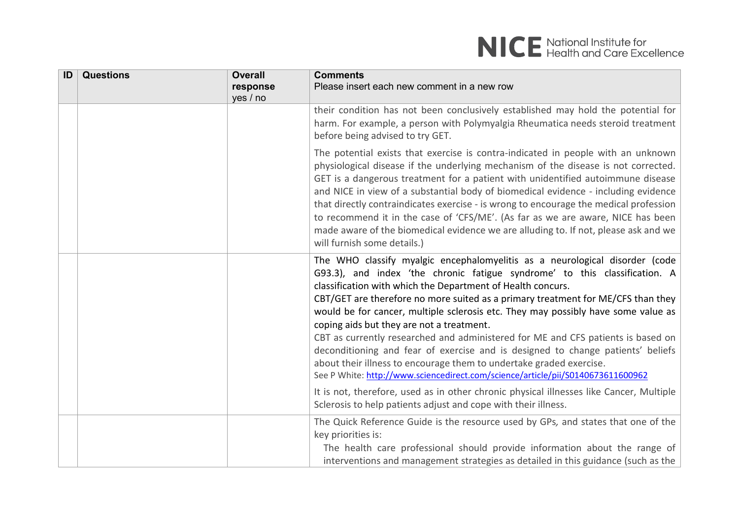| ID | <b>Questions</b> | <b>Overall</b><br>response<br>yes / no | <b>Comments</b><br>Please insert each new comment in a new row                                                                                                                                                                                                                                                                                                                                                                                                                                                                                                                                                                                                                                                                                                                  |
|----|------------------|----------------------------------------|---------------------------------------------------------------------------------------------------------------------------------------------------------------------------------------------------------------------------------------------------------------------------------------------------------------------------------------------------------------------------------------------------------------------------------------------------------------------------------------------------------------------------------------------------------------------------------------------------------------------------------------------------------------------------------------------------------------------------------------------------------------------------------|
|    |                  |                                        | their condition has not been conclusively established may hold the potential for<br>harm. For example, a person with Polymyalgia Rheumatica needs steroid treatment<br>before being advised to try GET.                                                                                                                                                                                                                                                                                                                                                                                                                                                                                                                                                                         |
|    |                  |                                        | The potential exists that exercise is contra-indicated in people with an unknown<br>physiological disease if the underlying mechanism of the disease is not corrected.<br>GET is a dangerous treatment for a patient with unidentified autoimmune disease<br>and NICE in view of a substantial body of biomedical evidence - including evidence<br>that directly contraindicates exercise - is wrong to encourage the medical profession<br>to recommend it in the case of 'CFS/ME'. (As far as we are aware, NICE has been<br>made aware of the biomedical evidence we are alluding to. If not, please ask and we<br>will furnish some details.)                                                                                                                               |
|    |                  |                                        | The WHO classify myalgic encephalomyelitis as a neurological disorder (code<br>G93.3), and index 'the chronic fatigue syndrome' to this classification. A<br>classification with which the Department of Health concurs.<br>CBT/GET are therefore no more suited as a primary treatment for ME/CFS than they<br>would be for cancer, multiple sclerosis etc. They may possibly have some value as<br>coping aids but they are not a treatment.<br>CBT as currently researched and administered for ME and CFS patients is based on<br>deconditioning and fear of exercise and is designed to change patients' beliefs<br>about their illness to encourage them to undertake graded exercise.<br>See P White: http://www.sciencedirect.com/science/article/pii/S0140673611600962 |
|    |                  |                                        | It is not, therefore, used as in other chronic physical illnesses like Cancer, Multiple<br>Sclerosis to help patients adjust and cope with their illness.                                                                                                                                                                                                                                                                                                                                                                                                                                                                                                                                                                                                                       |
|    |                  |                                        | The Quick Reference Guide is the resource used by GPs, and states that one of the<br>key priorities is:<br>The health care professional should provide information about the range of<br>interventions and management strategies as detailed in this guidance (such as the                                                                                                                                                                                                                                                                                                                                                                                                                                                                                                      |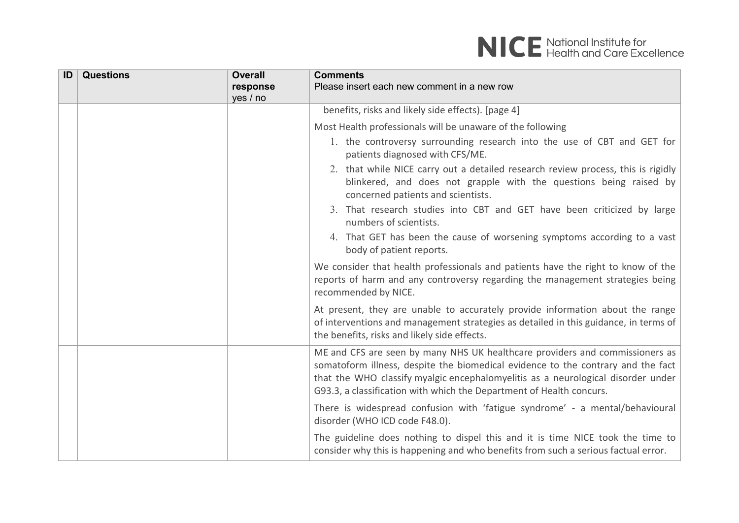| ID | <b>Questions</b> | <b>Overall</b><br>response<br>yes / no | <b>Comments</b><br>Please insert each new comment in a new row                                                                                                                                                                                                                                                               |
|----|------------------|----------------------------------------|------------------------------------------------------------------------------------------------------------------------------------------------------------------------------------------------------------------------------------------------------------------------------------------------------------------------------|
|    |                  |                                        | benefits, risks and likely side effects). [page 4]                                                                                                                                                                                                                                                                           |
|    |                  |                                        | Most Health professionals will be unaware of the following                                                                                                                                                                                                                                                                   |
|    |                  |                                        | 1. the controversy surrounding research into the use of CBT and GET for<br>patients diagnosed with CFS/ME.                                                                                                                                                                                                                   |
|    |                  |                                        | 2. that while NICE carry out a detailed research review process, this is rigidly<br>blinkered, and does not grapple with the questions being raised by<br>concerned patients and scientists.                                                                                                                                 |
|    |                  |                                        | 3. That research studies into CBT and GET have been criticized by large<br>numbers of scientists.                                                                                                                                                                                                                            |
|    |                  |                                        | 4. That GET has been the cause of worsening symptoms according to a vast<br>body of patient reports.                                                                                                                                                                                                                         |
|    |                  |                                        | We consider that health professionals and patients have the right to know of the<br>reports of harm and any controversy regarding the management strategies being<br>recommended by NICE.                                                                                                                                    |
|    |                  |                                        | At present, they are unable to accurately provide information about the range<br>of interventions and management strategies as detailed in this guidance, in terms of<br>the benefits, risks and likely side effects.                                                                                                        |
|    |                  |                                        | ME and CFS are seen by many NHS UK healthcare providers and commissioners as<br>somatoform illness, despite the biomedical evidence to the contrary and the fact<br>that the WHO classify myalgic encephalomyelitis as a neurological disorder under<br>G93.3, a classification with which the Department of Health concurs. |
|    |                  |                                        | There is widespread confusion with 'fatigue syndrome' - a mental/behavioural<br>disorder (WHO ICD code F48.0).                                                                                                                                                                                                               |
|    |                  |                                        | The guideline does nothing to dispel this and it is time NICE took the time to<br>consider why this is happening and who benefits from such a serious factual error.                                                                                                                                                         |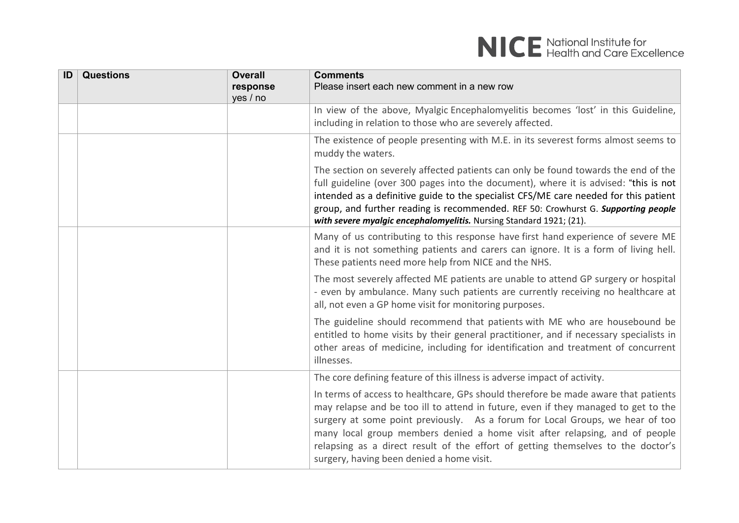| ID | <b>Questions</b> | <b>Overall</b><br>response<br>yes / no | <b>Comments</b><br>Please insert each new comment in a new row                                                                                                                                                                                                                                                                                                                                                                                                            |
|----|------------------|----------------------------------------|---------------------------------------------------------------------------------------------------------------------------------------------------------------------------------------------------------------------------------------------------------------------------------------------------------------------------------------------------------------------------------------------------------------------------------------------------------------------------|
|    |                  |                                        | In view of the above, Myalgic Encephalomyelitis becomes 'lost' in this Guideline,<br>including in relation to those who are severely affected.                                                                                                                                                                                                                                                                                                                            |
|    |                  |                                        | The existence of people presenting with M.E. in its severest forms almost seems to<br>muddy the waters.                                                                                                                                                                                                                                                                                                                                                                   |
|    |                  |                                        | The section on severely affected patients can only be found towards the end of the<br>full guideline (over 300 pages into the document), where it is advised: "this is not<br>intended as a definitive guide to the specialist CFS/ME care needed for this patient<br>group, and further reading is recommended. REF 50: Crowhurst G. Supporting people<br>with severe myalgic encephalomyelitis. Nursing Standard 1921; (21).                                            |
|    |                  |                                        | Many of us contributing to this response have first hand experience of severe ME<br>and it is not something patients and carers can ignore. It is a form of living hell.<br>These patients need more help from NICE and the NHS.                                                                                                                                                                                                                                          |
|    |                  |                                        | The most severely affected ME patients are unable to attend GP surgery or hospital<br>- even by ambulance. Many such patients are currently receiving no healthcare at<br>all, not even a GP home visit for monitoring purposes.                                                                                                                                                                                                                                          |
|    |                  |                                        | The guideline should recommend that patients with ME who are housebound be<br>entitled to home visits by their general practitioner, and if necessary specialists in<br>other areas of medicine, including for identification and treatment of concurrent<br>illnesses.                                                                                                                                                                                                   |
|    |                  |                                        | The core defining feature of this illness is adverse impact of activity.                                                                                                                                                                                                                                                                                                                                                                                                  |
|    |                  |                                        | In terms of access to healthcare, GPs should therefore be made aware that patients<br>may relapse and be too ill to attend in future, even if they managed to get to the<br>surgery at some point previously. As a forum for Local Groups, we hear of too<br>many local group members denied a home visit after relapsing, and of people<br>relapsing as a direct result of the effort of getting themselves to the doctor's<br>surgery, having been denied a home visit. |